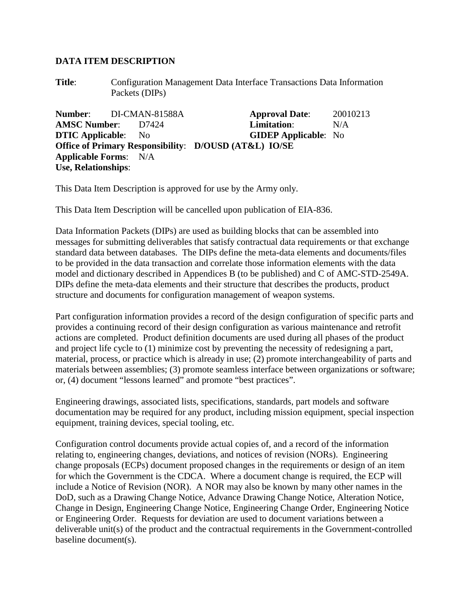## **DATA ITEM DESCRIPTION**

**Title**: Configuration Management Data Interface Transactions Data Information Packets (DIPs)

**Number:** DI-CMAN-81588A **Approval Date**: 20010213 **AMSC Number**: D7424 **Limitation**: N/A **DTIC Applicable**: No **GIDEP Applicable**: No **Office of Primary Responsibility**: **D/OUSD (AT&L) IO/SE Applicable Forms**: N/A **Use, Relationships**:

This Data Item Description is approved for use by the Army only.

This Data Item Description will be cancelled upon publication of EIA-836.

Data Information Packets (DIPs) are used as building blocks that can be assembled into messages for submitting deliverables that satisfy contractual data requirements or that exchange standard data between databases. The DIPs define the meta-data elements and documents/files to be provided in the data transaction and correlate those information elements with the data model and dictionary described in Appendices B (to be published) and C of AMC-STD-2549A. DIPs define the meta-data elements and their structure that describes the products, product structure and documents for configuration management of weapon systems.

Part configuration information provides a record of the design configuration of specific parts and provides a continuing record of their design configuration as various maintenance and retrofit actions are completed. Product definition documents are used during all phases of the product and project life cycle to (1) minimize cost by preventing the necessity of redesigning a part, material, process, or practice which is already in use; (2) promote interchangeability of parts and materials between assemblies; (3) promote seamless interface between organizations or software; or, (4) document "lessons learned" and promote "best practices".

Engineering drawings, associated lists, specifications, standards, part models and software documentation may be required for any product, including mission equipment, special inspection equipment, training devices, special tooling, etc.

Configuration control documents provide actual copies of, and a record of the information relating to, engineering changes, deviations, and notices of revision (NORs). Engineering change proposals (ECPs) document proposed changes in the requirements or design of an item for which the Government is the CDCA. Where a document change is required, the ECP will include a Notice of Revision (NOR). A NOR may also be known by many other names in the DoD, such as a Drawing Change Notice, Advance Drawing Change Notice, Alteration Notice, Change in Design, Engineering Change Notice, Engineering Change Order, Engineering Notice or Engineering Order. Requests for deviation are used to document variations between a deliverable unit(s) of the product and the contractual requirements in the Government-controlled baseline document(s).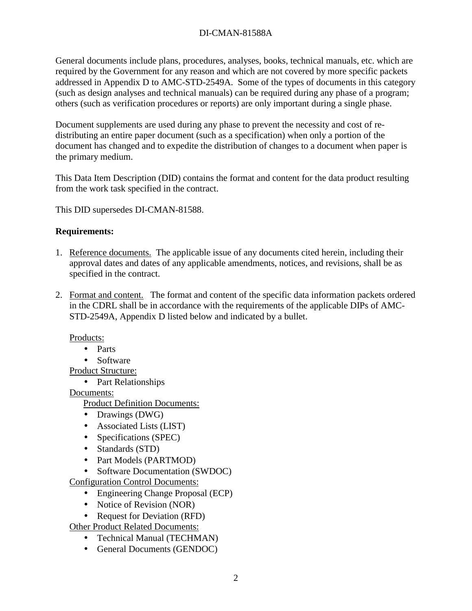## DI-CMAN-81588A

General documents include plans, procedures, analyses, books, technical manuals, etc. which are required by the Government for any reason and which are not covered by more specific packets addressed in Appendix D to AMC-STD-2549A. Some of the types of documents in this category (such as design analyses and technical manuals) can be required during any phase of a program; others (such as verification procedures or reports) are only important during a single phase.

Document supplements are used during any phase to prevent the necessity and cost of redistributing an entire paper document (such as a specification) when only a portion of the document has changed and to expedite the distribution of changes to a document when paper is the primary medium.

This Data Item Description (DID) contains the format and content for the data product resulting from the work task specified in the contract.

This DID supersedes DI-CMAN-81588.

## **Requirements:**

- 1. Reference documents. The applicable issue of any documents cited herein, including their approval dates and dates of any applicable amendments, notices, and revisions, shall be as specified in the contract.
- 2. Format and content. The format and content of the specific data information packets ordered in the CDRL shall be in accordance with the requirements of the applicable DIPs of AMC-STD-2549A, Appendix D listed below and indicated by a bullet.

## Products:

- Parts
- Software

Product Structure:

• Part Relationships

Documents:

Product Definition Documents:

- Drawings (DWG)
- Associated Lists (LIST)
- Specifications (SPEC)
- Standards (STD)
- Part Models (PARTMOD)
- Software Documentation (SWDOC)

Configuration Control Documents:

- Engineering Change Proposal (ECP)
- Notice of Revision (NOR)
- Request for Deviation (RFD)

Other Product Related Documents:

- Technical Manual (TECHMAN)
- General Documents (GENDOC)